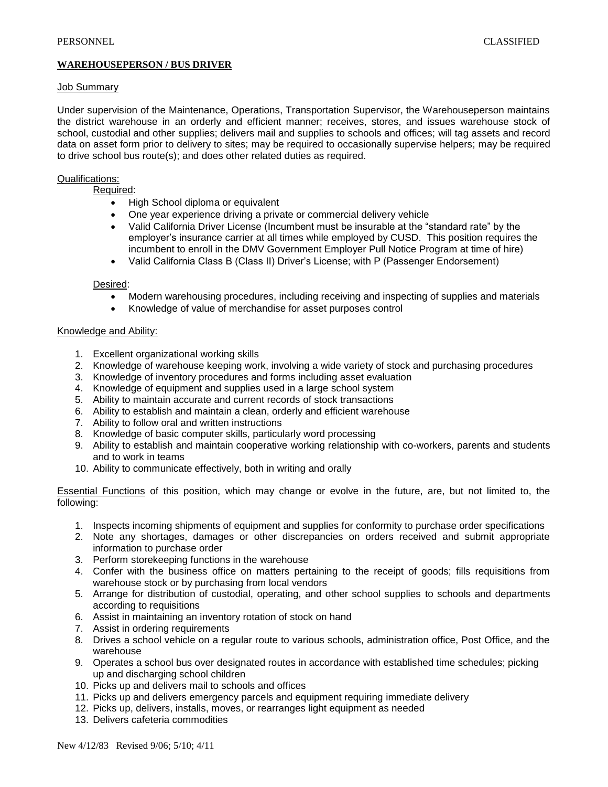# **WAREHOUSEPERSON / BUS DRIVER**

# Job Summary

Under supervision of the Maintenance, Operations, Transportation Supervisor, the Warehouseperson maintains the district warehouse in an orderly and efficient manner; receives, stores, and issues warehouse stock of school, custodial and other supplies; delivers mail and supplies to schools and offices; will tag assets and record data on asset form prior to delivery to sites; may be required to occasionally supervise helpers; may be required to drive school bus route(s); and does other related duties as required.

# Qualifications:

Required:

- High School diploma or equivalent
- One year experience driving a private or commercial delivery vehicle
- Valid California Driver License (Incumbent must be insurable at the "standard rate" by the employer's insurance carrier at all times while employed by CUSD. This position requires the incumbent to enroll in the DMV Government Employer Pull Notice Program at time of hire)
- Valid California Class B (Class II) Driver's License; with P (Passenger Endorsement)

# Desired:

- Modern warehousing procedures, including receiving and inspecting of supplies and materials
- Knowledge of value of merchandise for asset purposes control

#### Knowledge and Ability:

- 1. Excellent organizational working skills
- 2. Knowledge of warehouse keeping work, involving a wide variety of stock and purchasing procedures
- 3. Knowledge of inventory procedures and forms including asset evaluation
- 4. Knowledge of equipment and supplies used in a large school system
- 5. Ability to maintain accurate and current records of stock transactions
- 6. Ability to establish and maintain a clean, orderly and efficient warehouse
- 7. Ability to follow oral and written instructions
- 8. Knowledge of basic computer skills, particularly word processing
- 9. Ability to establish and maintain cooperative working relationship with co-workers, parents and students and to work in teams
- 10. Ability to communicate effectively, both in writing and orally

Essential Functions of this position, which may change or evolve in the future, are, but not limited to, the following:

- 1. Inspects incoming shipments of equipment and supplies for conformity to purchase order specifications
- 2. Note any shortages, damages or other discrepancies on orders received and submit appropriate information to purchase order
- 3. Perform storekeeping functions in the warehouse
- 4. Confer with the business office on matters pertaining to the receipt of goods; fills requisitions from warehouse stock or by purchasing from local vendors
- 5. Arrange for distribution of custodial, operating, and other school supplies to schools and departments according to requisitions
- 6. Assist in maintaining an inventory rotation of stock on hand
- 7. Assist in ordering requirements
- 8. Drives a school vehicle on a regular route to various schools, administration office, Post Office, and the warehouse
- 9. Operates a school bus over designated routes in accordance with established time schedules; picking up and discharging school children
- 10. Picks up and delivers mail to schools and offices
- 11. Picks up and delivers emergency parcels and equipment requiring immediate delivery
- 12. Picks up, delivers, installs, moves, or rearranges light equipment as needed
- 13. Delivers cafeteria commodities